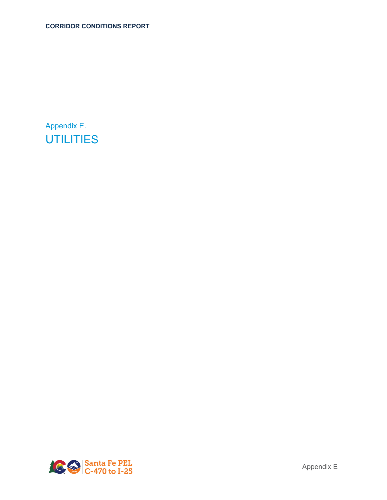Appendix E. **UTILITIES** 

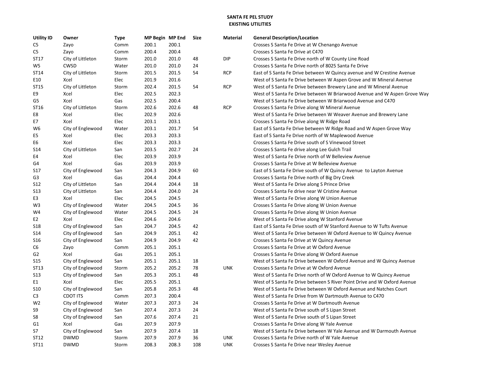## **SANTA FE PEL STUDYEXISTING UTILITIES**

| <b>Utility ID</b> | Owner             | <b>Type</b> | MP Begin MP End |       | Size | Material   | <b>General Description/Location</b>                                       |
|-------------------|-------------------|-------------|-----------------|-------|------|------------|---------------------------------------------------------------------------|
| C5                | Zayo              | Comm        | 200.1           | 200.1 |      |            | Crosses S Santa Fe Drive at W Chenango Avenue                             |
| C5                | Zayo              | Comm        | 200.4           | 200.4 |      |            | Crosses S Santa Fe Drive at C470                                          |
| ST17              | City of Littleton | Storm       | 201.0           | 201.0 | 48   | <b>DIP</b> | Crosses S Santa Fe Drive north of W County Line Road                      |
| W5                | CWSD              | Water       | 201.0           | 201.0 | 24   |            | Crosses S Santa Fe Drive north of 8025 Santa Fe Drive                     |
| ST14              | City of Littleton | Storm       | 201.5           | 201.5 | 54   | <b>RCP</b> | East of S Santa Fe Drive between W Quincy avenue and W Crestine Avenue    |
| E10               | Xcel              | Elec        | 201.9           | 201.6 |      |            | West of S Santa Fe Drive between W Aspen Grove and W Mineral Avenue       |
| ST15              | City of Littleton | Storm       | 202.4           | 201.5 | 54   | <b>RCP</b> | West of S Santa Fe Drive between Brewery Lane and W Mineral Avenue        |
| E9                | Xcel              | Elec        | 202.5           | 202.3 |      |            | West of S Santa Fe Drive between W Briarwood Avenue and W Aspen Grove Way |
| G5                | Xcel              | Gas         | 202.5           | 200.4 |      |            | West of S Santa Fe Drive between W Briarwood Avenue and C470              |
| ST16              | City of Littleton | Storm       | 202.6           | 202.6 | 48   | <b>RCP</b> | Crosses S Santa Fe Drive along W Mineral Avenue                           |
| E8                | Xcel              | Elec        | 202.9           | 202.6 |      |            | West of S Santa Fe Drive between W Weaver Avenue and Brewery Lane         |
| E7                | Xcel              | Elec        | 203.1           | 203.1 |      |            | Crosses S Santa Fe Drive along W Ridge Road                               |
| W6                | City of Englewood | Water       | 203.1           | 201.7 | 54   |            | East of S Santa Fe Drive between W Ridge Road and W Aspen Grove Way       |
| E5                | Xcel              | Elec        | 203.3           | 203.3 |      |            | East of S Santa Fe Drive north of W Maplewood Avenue                      |
| E6                | Xcel              | Elec        | 203.3           | 203.3 |      |            | Crosses S Santa Fe Drive south of S Vinewood Street                       |
| <b>S14</b>        | City of Littleton | San         | 203.5           | 202.7 | 24   |            | Crosses S Santa Fe drive along Lee Gulch Trail                            |
| E4                | Xcel              | Elec        | 203.9           | 203.9 |      |            | West of S Santa Fe Drive north of W Belleview Avenue                      |
| G4                | Xcel              | Gas         | 203.9           | 203.9 |      |            | Crosses S Santa Fe Drive at W Belleview Avenue                            |
| <b>S17</b>        | City of Englewood | San         | 204.3           | 204.9 | 60   |            | East of S Santa Fe Drive south of W Quincy Avenue to Layton Avenue        |
| G <sub>3</sub>    | Xcel              | Gas         | 204.4           | 204.4 |      |            | Crosses S Santa Fe Drive north of Big Dry Creek                           |
| S <sub>12</sub>   | City of Littleton | San         | 204.4           | 204.4 | 18   |            | West of S Santa Fe Drive along S Prince Drive                             |
| <b>S13</b>        | City of Littleton | San         | 204.4           | 204.0 | 24   |            | Crosses S Santa Fe drive near W Cristine Avenue                           |
| E3                | Xcel              | Elec        | 204.5           | 204.5 |      |            | West of S Santa Fe Drive along W Union Avenue                             |
| W <sub>3</sub>    | City of Englewood | Water       | 204.5           | 204.5 | 36   |            | Crosses S Santa Fe Drive along W Union Avenue                             |
| W4                | City of Englewood | Water       | 204.5           | 204.5 | 24   |            | Crosses S Santa Fe Drive along W Union Avenue                             |
| E2                | Xcel              | Elec        | 204.6           | 204.6 |      |            | West of S Santa Fe Drive along W Stanford Avenue                          |
| <b>S18</b>        | City of Englewood | San         | 204.7           | 204.5 | 42   |            | East of S Santa Fe Drive south of W Stanford Avenue to W Tufts Avenue     |
| S <sub>14</sub>   | City of Englewood | San         | 204.9           | 205.1 | 42   |            | West of S Santa Fe Drive between W Oxford Avenue to W Quincy Avenue       |
| S <sub>16</sub>   | City of Englewood | San         | 204.9           | 204.9 | 42   |            | Crosses S Santa Fe Drive at W Quincy Avenue                               |
| C <sub>6</sub>    | Zayo              | Comm        | 205.1           | 205.1 |      |            | Crosses S Santa Fe Drive at W Oxford Avenue                               |
| G <sub>2</sub>    | Xcel              | Gas         | 205.1           | 205.1 |      |            | Crosses S Santa Fe Drive along W Oxford Avenue                            |
| <b>S15</b>        | City of Englewood | San         | 205.1           | 205.1 | 18   |            | West of S Santa Fe Drive between W Oxford Avenue and W Quincy Avenue      |
| ST13              | City of Englewood | Storm       | 205.2           | 205.2 | 78   | <b>UNK</b> | Crosses S Santa Fe Drive at W Oxford Avenue                               |
| <b>S13</b>        | City of Englewood | San         | 205.3           | 205.1 | 48   |            | West of S Santa Fe Drive north of W Oxford Avenue to W Quincy Avenue      |
| E1                | Xcel              | Elec        | 205.5           | 205.1 |      |            | West of S Santa Fe Drive between S River Point Drive and W Oxford Avenue  |
| <b>S10</b>        | City of Englewood | San         | 205.8           | 205.3 | 48   |            | West of S Santa Fe Drive between W Oxford Avenue and Natches Court        |
| C <sub>3</sub>    | <b>CDOT ITS</b>   | Comm        | 207.3           | 200.4 |      |            | West of S Santa Fe Drive from W Dartmouth Avenue to C470                  |
| W <sub>2</sub>    | City of Englewood | Water       | 207.3           | 207.3 | 24   |            | Crosses S Santa Fe Drive at W Dartmouth Avenue                            |
| S9                | City of Englewood | San         | 207.4           | 207.3 | 24   |            | West of S Santa Fe Drive south of S Lipan Street                          |
| S8                | City of Englewood | San         | 207.6           | 207.4 | 21   |            | West of S Santa Fe Drive south of S Lipan Street                          |
| G <sub>1</sub>    | Xcel              | Gas         | 207.9           | 207.9 |      |            | Crosses S Santa Fe Drive along W Yale Avenue                              |
| S7                | City of Englewood | San         | 207.9           | 207.4 | 18   |            | West of S Santa Fe Drive between W Yale Avenue and W Darmouth Avenue      |
| ST12              | <b>DWMD</b>       | Storm       | 207.9           | 207.9 | 36   | <b>UNK</b> | Crosses S Santa Fe Drive north of W Yale Avenue                           |
| ST11              | <b>DWMD</b>       | Storm       | 208.3           | 208.3 | 108  | <b>UNK</b> | Crosses S Santa Fe Drive near Wesley Avenue                               |
|                   |                   |             |                 |       |      |            |                                                                           |